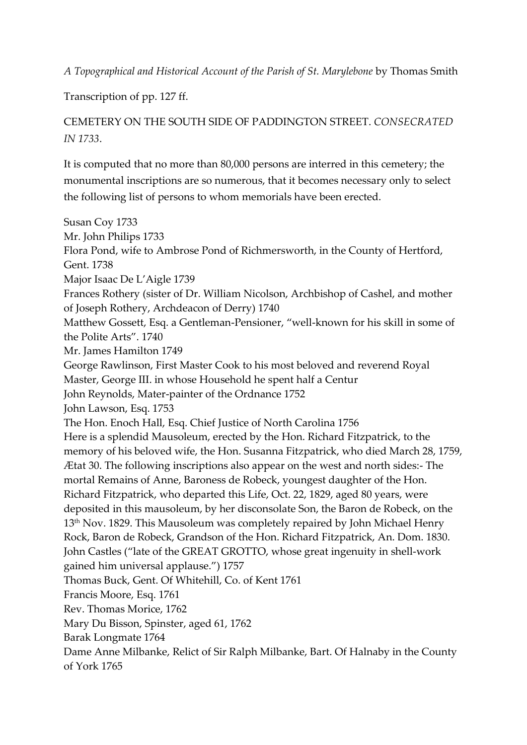*A Topographical and Historical Account of the Parish of St. Marylebone* by Thomas Smith

Transcription of pp. 127 ff.

## CEMETERY ON THE SOUTH SIDE OF PADDINGTON STREET. *CONSECRATED IN 1733*.

It is computed that no more than 80,000 persons are interred in this cemetery; the monumental inscriptions are so numerous, that it becomes necessary only to select the following list of persons to whom memorials have been erected.

Susan Coy 1733 Mr. John Philips 1733 Flora Pond, wife to Ambrose Pond of Richmersworth, in the County of Hertford, Gent. 1738 Major Isaac De L'Aigle 1739 Frances Rothery (sister of Dr. William Nicolson, Archbishop of Cashel, and mother of Joseph Rothery, Archdeacon of Derry) 1740 Matthew Gossett, Esq. a Gentleman-Pensioner, "well-known for his skill in some of the Polite Arts". 1740 Mr. James Hamilton 1749 George Rawlinson, First Master Cook to his most beloved and reverend Royal Master, George III. in whose Household he spent half a Centur John Reynolds, Mater-painter of the Ordnance 1752 John Lawson, Esq. 1753 The Hon. Enoch Hall, Esq. Chief Justice of North Carolina 1756 Here is a splendid Mausoleum, erected by the Hon. Richard Fitzpatrick, to the memory of his beloved wife, the Hon. Susanna Fitzpatrick, who died March 28, 1759, Ætat 30. The following inscriptions also appear on the west and north sides:- The mortal Remains of Anne, Baroness de Robeck, youngest daughter of the Hon. Richard Fitzpatrick, who departed this Life, Oct. 22, 1829, aged 80 years, were deposited in this mausoleum, by her disconsolate Son, the Baron de Robeck, on the 13th Nov. 1829. This Mausoleum was completely repaired by John Michael Henry Rock, Baron de Robeck, Grandson of the Hon. Richard Fitzpatrick, An. Dom. 1830. John Castles ("late of the GREAT GROTTO, whose great ingenuity in shell-work gained him universal applause.") 1757 Thomas Buck, Gent. Of Whitehill, Co. of Kent 1761 Francis Moore, Esq. 1761 Rev. Thomas Morice, 1762 Mary Du Bisson, Spinster, aged 61, 1762 Barak Longmate 1764 Dame Anne Milbanke, Relict of Sir Ralph Milbanke, Bart. Of Halnaby in the County of York 1765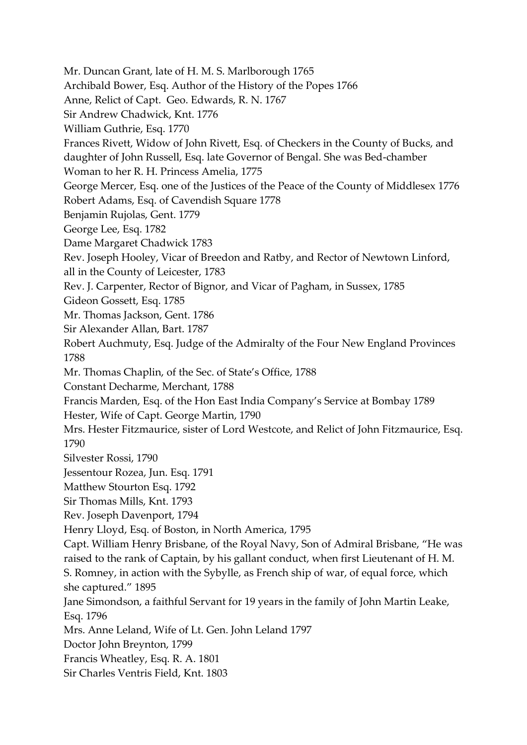Mr. Duncan Grant, late of H. M. S. Marlborough 1765 Archibald Bower, Esq. Author of the History of the Popes 1766 Anne, Relict of Capt. Geo. Edwards, R. N. 1767 Sir Andrew Chadwick, Knt. 1776 William Guthrie, Esq. 1770 Frances Rivett, Widow of John Rivett, Esq. of Checkers in the County of Bucks, and daughter of John Russell, Esq. late Governor of Bengal. She was Bed-chamber Woman to her R. H. Princess Amelia, 1775 George Mercer, Esq. one of the Justices of the Peace of the County of Middlesex 1776 Robert Adams, Esq. of Cavendish Square 1778 Benjamin Rujolas, Gent. 1779 George Lee, Esq. 1782 Dame Margaret Chadwick 1783 Rev. Joseph Hooley, Vicar of Breedon and Ratby, and Rector of Newtown Linford, all in the County of Leicester, 1783 Rev. J. Carpenter, Rector of Bignor, and Vicar of Pagham, in Sussex, 1785 Gideon Gossett, Esq. 1785 Mr. Thomas Jackson, Gent. 1786 Sir Alexander Allan, Bart. 1787 Robert Auchmuty, Esq. Judge of the Admiralty of the Four New England Provinces 1788 Mr. Thomas Chaplin, of the Sec. of State's Office, 1788 Constant Decharme, Merchant, 1788 Francis Marden, Esq. of the Hon East India Company's Service at Bombay 1789 Hester, Wife of Capt. George Martin, 1790 Mrs. Hester Fitzmaurice, sister of Lord Westcote, and Relict of John Fitzmaurice, Esq. 1790 Silvester Rossi, 1790 Jessentour Rozea, Jun. Esq. 1791 Matthew Stourton Esq. 1792 Sir Thomas Mills, Knt. 1793 Rev. Joseph Davenport, 1794 Henry Lloyd, Esq. of Boston, in North America, 1795 Capt. William Henry Brisbane, of the Royal Navy, Son of Admiral Brisbane, "He was raised to the rank of Captain, by his gallant conduct, when first Lieutenant of H. M. S. Romney, in action with the Sybylle, as French ship of war, of equal force, which she captured." 1895 Jane Simondson, a faithful Servant for 19 years in the family of John Martin Leake, Esq. 1796 Mrs. Anne Leland, Wife of Lt. Gen. John Leland 1797 Doctor John Breynton, 1799 Francis Wheatley, Esq. R. A. 1801 Sir Charles Ventris Field, Knt. 1803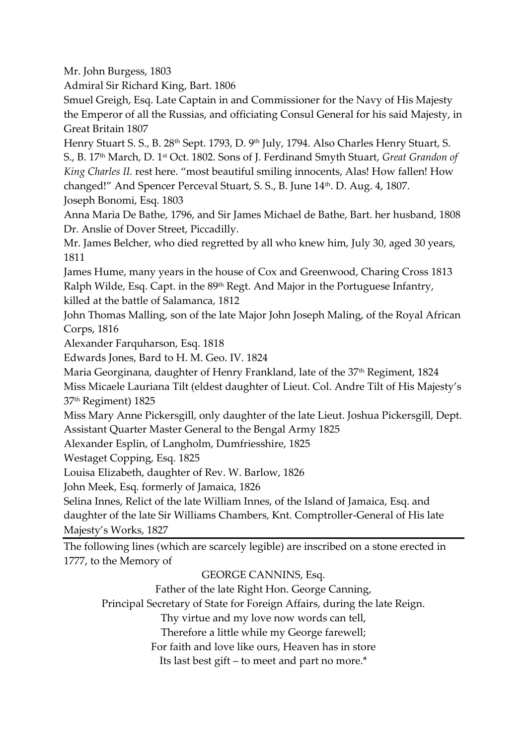Mr. John Burgess, 1803

Admiral Sir Richard King, Bart. 1806

Smuel Greigh, Esq. Late Captain in and Commissioner for the Navy of His Majesty the Emperor of all the Russias, and officiating Consul General for his said Majesty, in Great Britain 1807

Henry Stuart S. S., B. 28<sup>th</sup> Sept. 1793, D. 9<sup>th</sup> July, 1794. Also Charles Henry Stuart, S. S., B. 17th March, D. 1st Oct. 1802. Sons of J. Ferdinand Smyth Stuart, *Great Grandon of King Charles II.* rest here. "most beautiful smiling innocents, Alas! How fallen! How changed!" And Spencer Perceval Stuart, S. S., B. June 14<sup>th</sup>. D. Aug. 4, 1807. Joseph Bonomi, Esq. 1803

Anna Maria De Bathe, 1796, and Sir James Michael de Bathe, Bart. her husband, 1808 Dr. Anslie of Dover Street, Piccadilly.

Mr. James Belcher, who died regretted by all who knew him, July 30, aged 30 years, 1811

James Hume, many years in the house of Cox and Greenwood, Charing Cross 1813 Ralph Wilde, Esq. Capt. in the 89<sup>th</sup> Regt. And Major in the Portuguese Infantry, killed at the battle of Salamanca, 1812

John Thomas Malling, son of the late Major John Joseph Maling, of the Royal African Corps, 1816

Alexander Farquharson, Esq. 1818

Edwards Jones, Bard to H. M. Geo. IV. 1824

Maria Georginana, daughter of Henry Frankland, late of the 37<sup>th</sup> Regiment, 1824

Miss Micaele Lauriana Tilt (eldest daughter of Lieut. Col. Andre Tilt of His Majesty's 37th Regiment) 1825

Miss Mary Anne Pickersgill, only daughter of the late Lieut. Joshua Pickersgill, Dept. Assistant Quarter Master General to the Bengal Army 1825

Alexander Esplin, of Langholm, Dumfriesshire, 1825

Westaget Copping, Esq. 1825

Louisa Elizabeth, daughter of Rev. W. Barlow, 1826

John Meek, Esq. formerly of Jamaica, 1826

Selina Innes, Relict of the late William Innes, of the Island of Jamaica, Esq. and daughter of the late Sir Williams Chambers, Knt. Comptroller-General of His late Majesty's Works, 1827

The following lines (which are scarcely legible) are inscribed on a stone erected in 1777, to the Memory of

## GEORGE CANNINS, Esq.

Father of the late Right Hon. George Canning,

Principal Secretary of State for Foreign Affairs, during the late Reign.

Thy virtue and my love now words can tell,

Therefore a little while my George farewell;

For faith and love like ours, Heaven has in store

Its last best gift – to meet and part no more.\*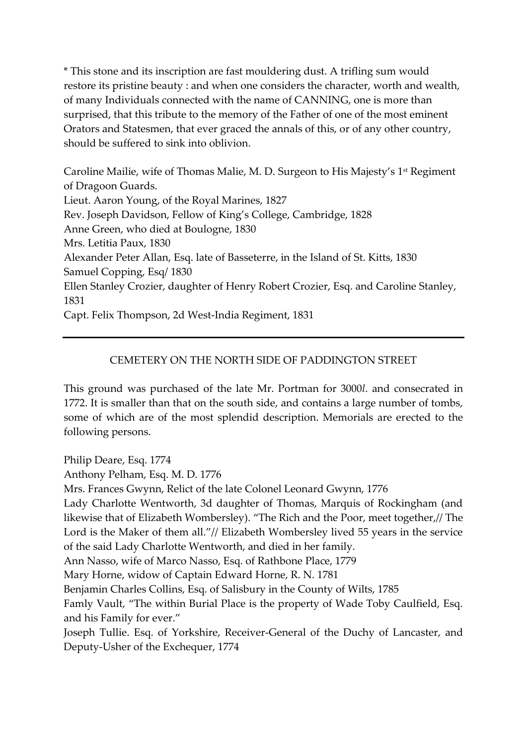\* This stone and its inscription are fast mouldering dust. A trifling sum would restore its pristine beauty : and when one considers the character, worth and wealth, of many Individuals connected with the name of CANNING, one is more than surprised, that this tribute to the memory of the Father of one of the most eminent Orators and Statesmen, that ever graced the annals of this, or of any other country, should be suffered to sink into oblivion.

Caroline Mailie, wife of Thomas Malie, M. D. Surgeon to His Majesty's 1<sup>st</sup> Regiment of Dragoon Guards. Lieut. Aaron Young, of the Royal Marines, 1827 Rev. Joseph Davidson, Fellow of King's College, Cambridge, 1828 Anne Green, who died at Boulogne, 1830 Mrs. Letitia Paux, 1830 Alexander Peter Allan, Esq. late of Basseterre, in the Island of St. Kitts, 1830 Samuel Copping, Esq/ 1830 Ellen Stanley Crozier, daughter of Henry Robert Crozier, Esq. and Caroline Stanley, 1831 Capt. Felix Thompson, 2d West-India Regiment, 1831

## CEMETERY ON THE NORTH SIDE OF PADDINGTON STREET

This ground was purchased of the late Mr. Portman for 3000*l*. and consecrated in 1772. It is smaller than that on the south side, and contains a large number of tombs, some of which are of the most splendid description. Memorials are erected to the following persons.

Philip Deare, Esq. 1774 Anthony Pelham, Esq. M. D. 1776 Mrs. Frances Gwynn, Relict of the late Colonel Leonard Gwynn, 1776 Lady Charlotte Wentworth, 3d daughter of Thomas, Marquis of Rockingham (and likewise that of Elizabeth Wombersley). "The Rich and the Poor, meet together,// The Lord is the Maker of them all."// Elizabeth Wombersley lived 55 years in the service of the said Lady Charlotte Wentworth, and died in her family. Ann Nasso, wife of Marco Nasso, Esq. of Rathbone Place, 1779 Mary Horne, widow of Captain Edward Horne, R. N. 1781 Benjamin Charles Collins, Esq. of Salisbury in the County of Wilts, 1785 Famly Vault, "The within Burial Place is the property of Wade Toby Caulfield, Esq. and his Family for ever." Joseph Tullie. Esq. of Yorkshire, Receiver-General of the Duchy of Lancaster, and Deputy-Usher of the Exchequer, 1774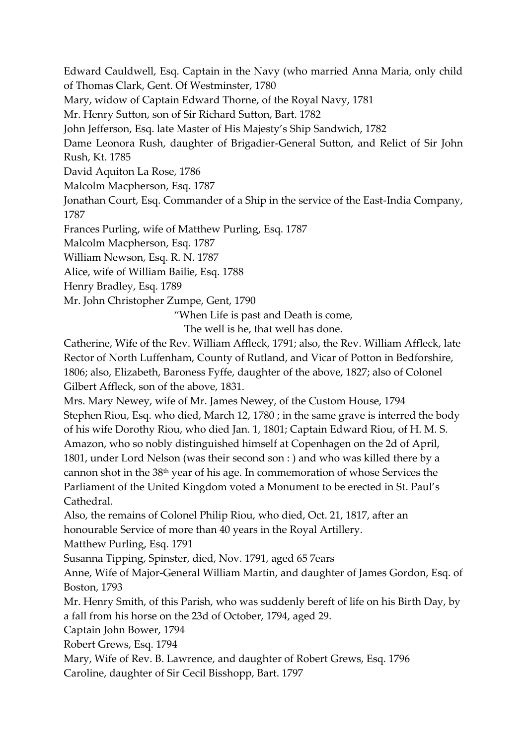Edward Cauldwell, Esq. Captain in the Navy (who married Anna Maria, only child of Thomas Clark, Gent. Of Westminster, 1780

Mary, widow of Captain Edward Thorne, of the Royal Navy, 1781

Mr. Henry Sutton, son of Sir Richard Sutton, Bart. 1782

John Jefferson, Esq. late Master of His Majesty's Ship Sandwich, 1782

Dame Leonora Rush, daughter of Brigadier-General Sutton, and Relict of Sir John Rush, Kt. 1785

David Aquiton La Rose, 1786

Malcolm Macpherson, Esq. 1787

Jonathan Court, Esq. Commander of a Ship in the service of the East-India Company, 1787

Frances Purling, wife of Matthew Purling, Esq. 1787

Malcolm Macpherson, Esq. 1787

William Newson, Esq. R. N. 1787

Alice, wife of William Bailie, Esq. 1788

Henry Bradley, Esq. 1789

Mr. John Christopher Zumpe, Gent, 1790

"When Life is past and Death is come,

The well is he, that well has done.

Catherine, Wife of the Rev. William Affleck, 1791; also, the Rev. William Affleck, late Rector of North Luffenham, County of Rutland, and Vicar of Potton in Bedforshire, 1806; also, Elizabeth, Baroness Fyffe, daughter of the above, 1827; also of Colonel Gilbert Affleck, son of the above, 1831.

Mrs. Mary Newey, wife of Mr. James Newey, of the Custom House, 1794 Stephen Riou, Esq. who died, March 12, 1780 ; in the same grave is interred the body of his wife Dorothy Riou, who died Jan. 1, 1801; Captain Edward Riou, of H. M. S. Amazon, who so nobly distinguished himself at Copenhagen on the 2d of April, 1801, under Lord Nelson (was their second son : ) and who was killed there by a cannon shot in the 38th year of his age. In commemoration of whose Services the Parliament of the United Kingdom voted a Monument to be erected in St. Paul's Cathedral.

Also, the remains of Colonel Philip Riou, who died, Oct. 21, 1817, after an honourable Service of more than 40 years in the Royal Artillery.

Matthew Purling, Esq. 1791

Susanna Tipping, Spinster, died, Nov. 1791, aged 65 7ears

Anne, Wife of Major-General William Martin, and daughter of James Gordon, Esq. of Boston, 1793

Mr. Henry Smith, of this Parish, who was suddenly bereft of life on his Birth Day, by a fall from his horse on the 23d of October, 1794, aged 29.

Captain John Bower, 1794

Robert Grews, Esq. 1794

Mary, Wife of Rev. B. Lawrence, and daughter of Robert Grews, Esq. 1796

Caroline, daughter of Sir Cecil Bisshopp, Bart. 1797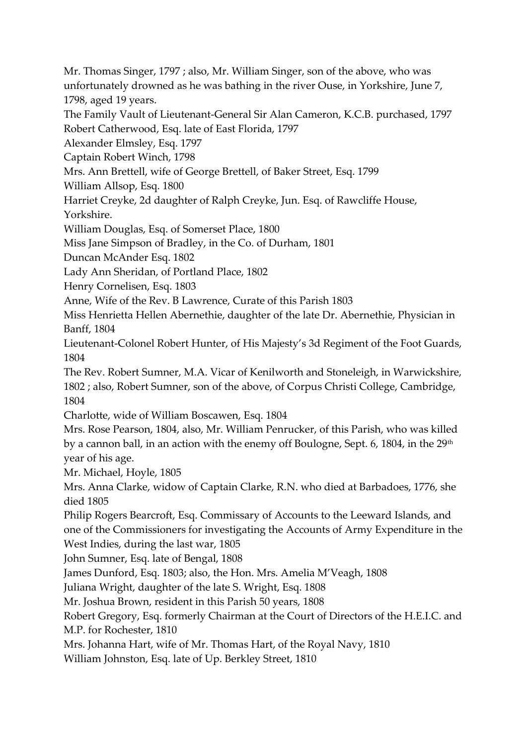Mr. Thomas Singer, 1797 ; also, Mr. William Singer, son of the above, who was unfortunately drowned as he was bathing in the river Ouse, in Yorkshire, June 7, 1798, aged 19 years.

The Family Vault of Lieutenant-General Sir Alan Cameron, K.C.B. purchased, 1797 Robert Catherwood, Esq. late of East Florida, 1797

Alexander Elmsley, Esq. 1797

Captain Robert Winch, 1798

Mrs. Ann Brettell, wife of George Brettell, of Baker Street, Esq. 1799

William Allsop, Esq. 1800

Harriet Creyke, 2d daughter of Ralph Creyke, Jun. Esq. of Rawcliffe House,

Yorkshire.

William Douglas, Esq. of Somerset Place, 1800

Miss Jane Simpson of Bradley, in the Co. of Durham, 1801

Duncan McAnder Esq. 1802

Lady Ann Sheridan, of Portland Place, 1802

Henry Cornelisen, Esq. 1803

Anne, Wife of the Rev. B Lawrence, Curate of this Parish 1803

Miss Henrietta Hellen Abernethie, daughter of the late Dr. Abernethie, Physician in Banff, 1804

Lieutenant-Colonel Robert Hunter, of His Majesty's 3d Regiment of the Foot Guards, 1804

The Rev. Robert Sumner, M.A. Vicar of Kenilworth and Stoneleigh, in Warwickshire, 1802 ; also, Robert Sumner, son of the above, of Corpus Christi College, Cambridge, 1804

Charlotte, wide of William Boscawen, Esq. 1804

Mrs. Rose Pearson, 1804, also, Mr. William Penrucker, of this Parish, who was killed by a cannon ball, in an action with the enemy off Boulogne, Sept. 6, 1804, in the  $29<sup>th</sup>$ year of his age.

Mr. Michael, Hoyle, 1805

Mrs. Anna Clarke, widow of Captain Clarke, R.N. who died at Barbadoes, 1776, she died 1805

Philip Rogers Bearcroft, Esq. Commissary of Accounts to the Leeward Islands, and one of the Commissioners for investigating the Accounts of Army Expenditure in the West Indies, during the last war, 1805

John Sumner, Esq. late of Bengal, 1808

James Dunford, Esq. 1803; also, the Hon. Mrs. Amelia M'Veagh, 1808

Juliana Wright, daughter of the late S. Wright, Esq. 1808

Mr. Joshua Brown, resident in this Parish 50 years, 1808

Robert Gregory, Esq. formerly Chairman at the Court of Directors of the H.E.I.C. and M.P. for Rochester, 1810

Mrs. Johanna Hart, wife of Mr. Thomas Hart, of the Royal Navy, 1810

William Johnston, Esq. late of Up. Berkley Street, 1810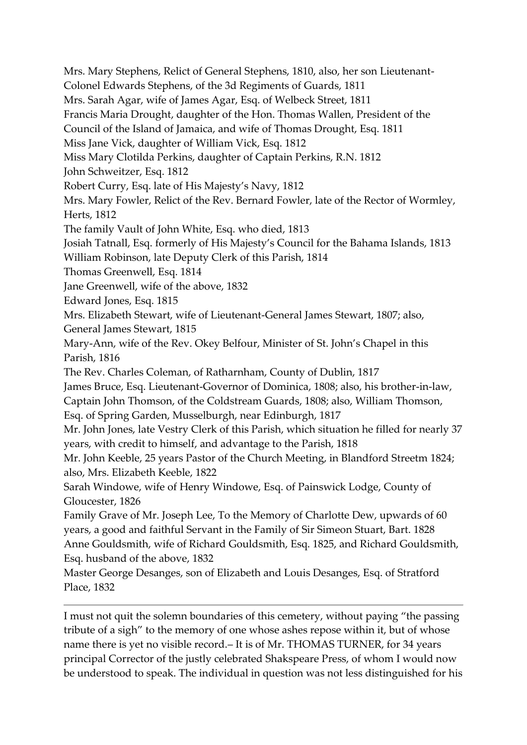Mrs. Mary Stephens, Relict of General Stephens, 1810, also, her son Lieutenant-Colonel Edwards Stephens, of the 3d Regiments of Guards, 1811 Mrs. Sarah Agar, wife of James Agar, Esq. of Welbeck Street, 1811 Francis Maria Drought, daughter of the Hon. Thomas Wallen, President of the Council of the Island of Jamaica, and wife of Thomas Drought, Esq. 1811 Miss Jane Vick, daughter of William Vick, Esq. 1812 Miss Mary Clotilda Perkins, daughter of Captain Perkins, R.N. 1812 John Schweitzer, Esq. 1812 Robert Curry, Esq. late of His Majesty's Navy, 1812 Mrs. Mary Fowler, Relict of the Rev. Bernard Fowler, late of the Rector of Wormley, Herts, 1812 The family Vault of John White, Esq. who died, 1813 Josiah Tatnall, Esq. formerly of His Majesty's Council for the Bahama Islands, 1813 William Robinson, late Deputy Clerk of this Parish, 1814 Thomas Greenwell, Esq. 1814 Jane Greenwell, wife of the above, 1832 Edward Jones, Esq. 1815 Mrs. Elizabeth Stewart, wife of Lieutenant-General James Stewart, 1807; also, General James Stewart, 1815 Mary-Ann, wife of the Rev. Okey Belfour, Minister of St. John's Chapel in this Parish, 1816 The Rev. Charles Coleman, of Ratharnham, County of Dublin, 1817 James Bruce, Esq. Lieutenant-Governor of Dominica, 1808; also, his brother-in-law, Captain John Thomson, of the Coldstream Guards, 1808; also, William Thomson, Esq. of Spring Garden, Musselburgh, near Edinburgh, 1817 Mr. John Jones, late Vestry Clerk of this Parish, which situation he filled for nearly 37 years, with credit to himself, and advantage to the Parish, 1818 Mr. John Keeble, 25 years Pastor of the Church Meeting, in Blandford Streetm 1824; also, Mrs. Elizabeth Keeble, 1822 Sarah Windowe, wife of Henry Windowe, Esq. of Painswick Lodge, County of Gloucester, 1826 Family Grave of Mr. Joseph Lee, To the Memory of Charlotte Dew, upwards of 60 years, a good and faithful Servant in the Family of Sir Simeon Stuart, Bart. 1828 Anne Gouldsmith, wife of Richard Gouldsmith, Esq. 1825, and Richard Gouldsmith, Esq. husband of the above, 1832 Master George Desanges, son of Elizabeth and Louis Desanges, Esq. of Stratford Place, 1832

I must not quit the solemn boundaries of this cemetery, without paying "the passing tribute of a sigh" to the memory of one whose ashes repose within it, but of whose name there is yet no visible record. – It is of Mr. THOMAS TURNER, for 34 years principal Corrector of the justly celebrated Shakspeare Press, of whom I would now be understood to speak. The individual in question was not less distinguished for his